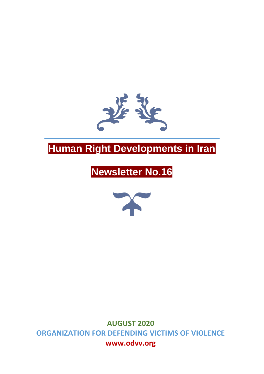

# **Human Right Developments in Iran**

# **Newsletter No.16**



**AUGUST 2020 ORGANIZATION FOR DEFENDING VICTIMS OF VIOLENCE www.odvv.org**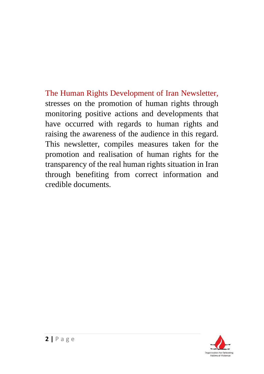The Human Rights Development of Iran Newsletter, stresses on the promotion of human rights through monitoring positive actions and developments that have occurred with regards to human rights and raising the awareness of the audience in this regard. This newsletter, compiles measures taken for the promotion and realisation of human rights for the transparency of the real human rights situation in Iran through benefiting from correct information and credible documents.

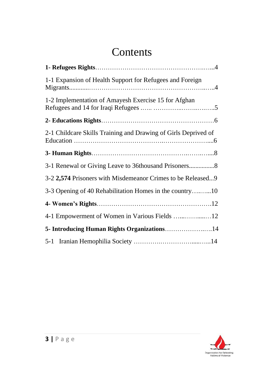# **Contents**

| 1-1 Expansion of Health Support for Refugees and Foreign       |
|----------------------------------------------------------------|
| 1-2 Implementation of Amayesh Exercise 15 for Afghan           |
|                                                                |
| 2-1 Childcare Skills Training and Drawing of Girls Deprived of |
|                                                                |
|                                                                |
| 3-2 2,574 Prisoners with Misdemeanor Crimes to be Released9    |
| 3-3 Opening of 40 Rehabilitation Homes in the country10        |
|                                                                |
|                                                                |
| 5- Introducing Human Rights Organizations14                    |
|                                                                |

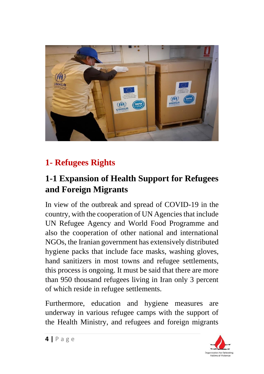

## **1- Refugees Rights**

### **1-1 Expansion of Health Support for Refugees and Foreign Migrants**

In view of the outbreak and spread of COVID-19 in the country, with the cooperation of UN Agencies that include UN Refugee Agency and World Food Programme and also the cooperation of other national and international NGOs, the Iranian government has extensively distributed hygiene packs that include face masks, washing gloves, hand sanitizers in most towns and refugee settlements, this process is ongoing. It must be said that there are more than 950 thousand refugees living in Iran only 3 percent of which reside in refugee settlements.

Furthermore, education and hygiene measures are underway in various refugee camps with the support of the Health Ministry, and refugees and foreign migrants

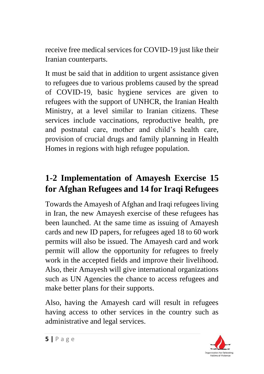receive free medical services for COVID-19 just like their Iranian counterparts.

It must be said that in addition to urgent assistance given to refugees due to various problems caused by the spread of COVID-19, basic hygiene services are given to refugees with the support of UNHCR, the Iranian Health Ministry, at a level similar to Iranian citizens. These services include vaccinations, reproductive health, pre and postnatal care, mother and child's health care, provision of crucial drugs and family planning in Health Homes in regions with high refugee population.

#### **1-2 Implementation of Amayesh Exercise 15 for Afghan Refugees and 14 for Iraqi Refugees**

Towards the Amayesh of Afghan and Iraqi refugees living in Iran, the new Amayesh exercise of these refugees has been launched. At the same time as issuing of Amayesh cards and new ID papers, for refugees aged 18 to 60 work permits will also be issued. The Amayesh card and work permit will allow the opportunity for refugees to freely work in the accepted fields and improve their livelihood. Also, their Amayesh will give international organizations such as UN Agencies the chance to access refugees and make better plans for their supports.

Also, having the Amayesh card will result in refugees having access to other services in the country such as administrative and legal services.

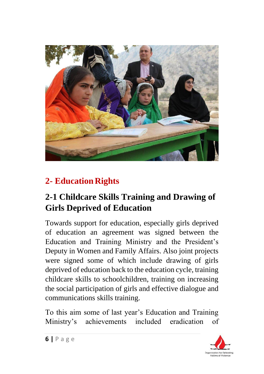

## **2- Education Rights**

#### **2-1 Childcare Skills Training and Drawing of Girls Deprived of Education**

Towards support for education, especially girls deprived of education an agreement was signed between the Education and Training Ministry and the President's Deputy in Women and Family Affairs. Also joint projects were signed some of which include drawing of girls deprived of education back to the education cycle, training childcare skills to schoolchildren, training on increasing the social participation of girls and effective dialogue and communications skills training.

To this aim some of last year's Education and Training Ministry's achievements included eradication of

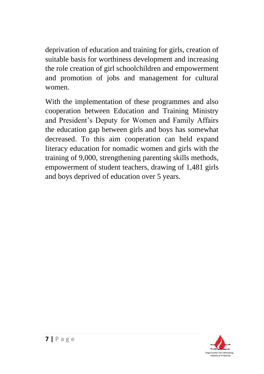deprivation of education and training for girls, creation of suitable basis for worthiness development and increasing the role creation of girl schoolchildren and empowerment and promotion of jobs and management for cultural women.

With the implementation of these programmes and also cooperation between Education and Training Ministry and President's Deputy for Women and Family Affairs the education gap between girls and boys has somewhat decreased. To this aim cooperation can held expand literacy education for nomadic women and girls with the training of 9,000, strengthening parenting skills methods, empowerment of student teachers, drawing of 1,481 girls and boys deprived of education over 5 years.

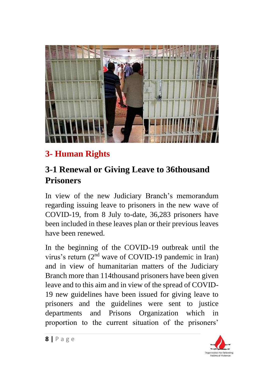

# **3- Human Rights**

### **3-1 Renewal or Giving Leave to 36thousand Prisoners**

In view of the new Judiciary Branch's memorandum regarding issuing leave to prisoners in the new wave of COVID-19, from 8 July to-date, 36,283 prisoners have been included in these leaves plan or their previous leaves have been renewed.

In the beginning of the COVID-19 outbreak until the virus's return  $(2<sup>nd</sup>$  wave of COVID-19 pandemic in Iran) and in view of humanitarian matters of the Judiciary Branch more than 114thousand prisoners have been given leave and to this aim and in view of the spread of COVID-19 new guidelines have been issued for giving leave to prisoners and the guidelines were sent to justice departments and Prisons Organization which in proportion to the current situation of the prisoners'

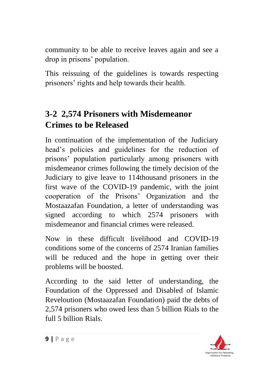community to be able to receive leaves again and see a drop in prisons' population.

This reissuing of the guidelines is towards respecting prisoners' rights and help towards their health.

### **3-2 2,574 Prisoners with Misdemeanor Crimes to be Released**

In continuation of the implementation of the Judiciary head's policies and guidelines for the reduction of prisons' population particularly among prisoners with misdemeanor crimes following the timely decision of the Judiciary to give leave to 114thousand prisoners in the first wave of the COVID-19 pandemic, with the joint cooperation of the Prisons' Organization and the Mostaazafan Foundation, a letter of understanding was signed according to which 2574 prisoners with misdemeanor and financial crimes were released.

Now in these difficult livelihood and COVID-19 conditions some of the concerns of 2574 Iranian families will be reduced and the hope in getting over their problems will be boosted.

According to the said letter of understanding, the Foundation of the Oppressed and Disabled of Islamic Reveloution (Mostaazafan Foundation) paid the debts of 2,574 prisoners who owed less than 5 billion Rials to the full 5 billion Rials.

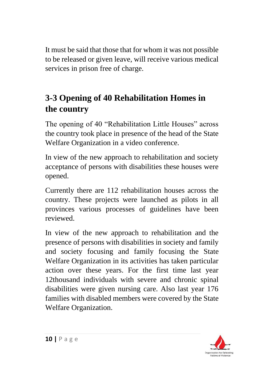It must be said that those that for whom it was not possible to be released or given leave, will receive various medical services in prison free of charge.

## **3-3 Opening of 40 Rehabilitation Homes in the country**

The opening of 40 "Rehabilitation Little Houses" across the country took place in presence of the head of the State Welfare Organization in a video conference.

In view of the new approach to rehabilitation and society acceptance of persons with disabilities these houses were opened.

Currently there are 112 rehabilitation houses across the country. These projects were launched as pilots in all provinces various processes of guidelines have been reviewed.

In view of the new approach to rehabilitation and the presence of persons with disabilities in society and family and society focusing and family focusing the State Welfare Organization in its activities has taken particular action over these years. For the first time last year 12thousand individuals with severe and chronic spinal disabilities were given nursing care. Also last year 176 families with disabled members were covered by the State Welfare Organization.

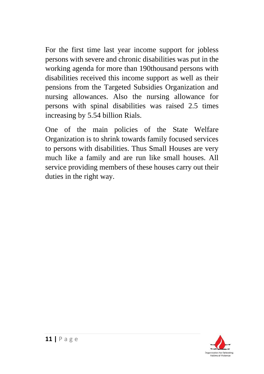For the first time last year income support for jobless persons with severe and chronic disabilities was put in the working agenda for more than 190thousand persons with disabilities received this income support as well as their pensions from the Targeted Subsidies Organization and nursing allowances. Also the nursing allowance for persons with spinal disabilities was raised 2.5 times increasing by 5.54 billion Rials.

One of the main policies of the State Welfare Organization is to shrink towards family focused services to persons with disabilities. Thus Small Houses are very much like a family and are run like small houses. All service providing members of these houses carry out their duties in the right way.

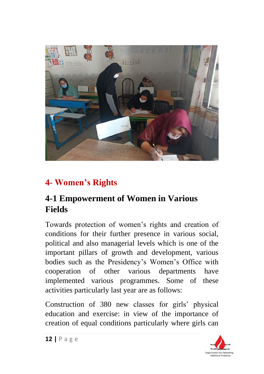

## **4- Women's Rights**

### **4-1 Empowerment of Women in Various Fields**

Towards protection of women's rights and creation of conditions for their further presence in various social, political and also managerial levels which is one of the important pillars of growth and development, various bodies such as the Presidency's Women's Office with cooperation of other various departments have implemented various programmes. Some of these activities particularly last year are as follows:

Construction of 380 new classes for girls' physical education and exercise: in view of the importance of creation of equal conditions particularly where girls can

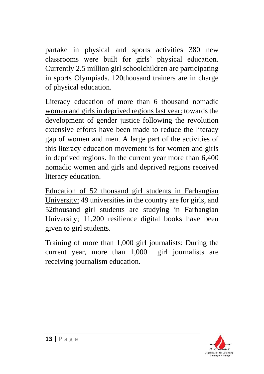partake in physical and sports activities 380 new classrooms were built for girls' physical education. Currently 2.5 million girl schoolchildren are participating in sports Olympiads. 120thousand trainers are in charge of physical education.

Literacy education of more than 6 thousand nomadic women and girls in deprived regions last year: towards the development of gender justice following the revolution extensive efforts have been made to reduce the literacy gap of women and men. A large part of the activities of this literacy education movement is for women and girls in deprived regions. In the current year more than 6,400 nomadic women and girls and deprived regions received literacy education.

Education of 52 thousand girl students in Farhangian University: 49 universities in the country are for girls, and 52thousand girl students are studying in Farhangian University; 11,200 resilience digital books have been given to girl students.

Training of more than 1,000 girl journalists: During the current year, more than 1,000 girl journalists are receiving journalism education.

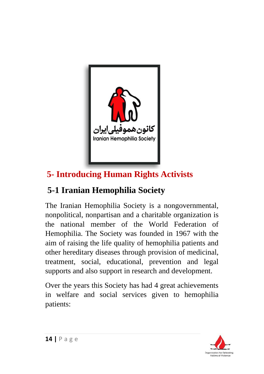

# **5- Introducing Human Rights Activists**

# **5-1 Iranian Hemophilia Society**

The Iranian Hemophilia Society is a nongovernmental, nonpolitical, nonpartisan and a charitable organization is the national member of the World Federation of Hemophilia. The Society was founded in 1967 with the aim of raising the life quality of hemophilia patients and other hereditary diseases through provision of medicinal, treatment, social, educational, prevention and legal supports and also support in research and development.

Over the years this Society has had 4 great achievements in welfare and social services given to hemophilia patients:

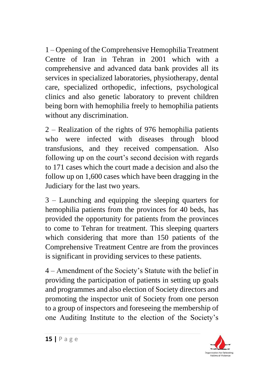1 – Opening of the Comprehensive Hemophilia Treatment Centre of Iran in Tehran in 2001 which with a comprehensive and advanced data bank provides all its services in specialized laboratories, physiotherapy, dental care, specialized orthopedic, infections, psychological clinics and also genetic laboratory to prevent children being born with hemophilia freely to hemophilia patients without any discrimination.

2 – Realization of the rights of 976 hemophilia patients who were infected with diseases through blood transfusions, and they received compensation. Also following up on the court's second decision with regards to 171 cases which the court made a decision and also the follow up on 1,600 cases which have been dragging in the Judiciary for the last two years.

3 – Launching and equipping the sleeping quarters for hemophilia patients from the provinces for 40 beds, has provided the opportunity for patients from the provinces to come to Tehran for treatment. This sleeping quarters which considering that more than 150 patients of the Comprehensive Treatment Centre are from the provinces is significant in providing services to these patients.

4 – Amendment of the Society's Statute with the belief in providing the participation of patients in setting up goals and programmes and also election of Society directors and promoting the inspector unit of Society from one person to a group of inspectors and foreseeing the membership of one Auditing Institute to the election of the Society's